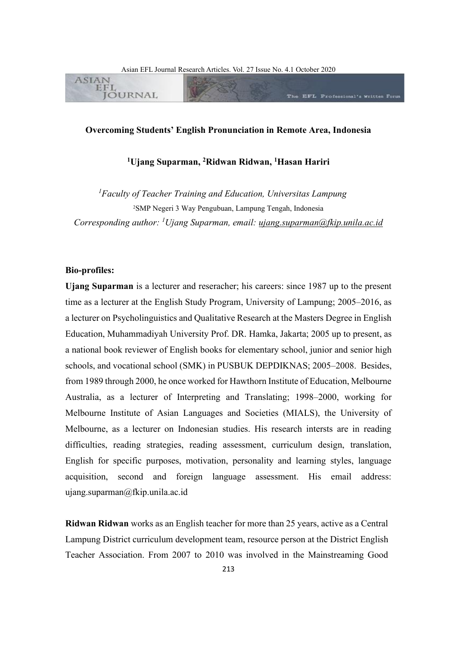The EFL Professional's Written Form



# **Overcoming Students' English Pronunciation in Remote Area, Indonesia**

# **<sup>1</sup>Ujang Suparman, <sup>2</sup>Ridwan Ridwan, <sup>1</sup>Hasan Hariri**

*<sup>1</sup>Faculty of Teacher Training and Education, Universitas Lampung* <sup>2</sup>SMP Negeri 3 Way Pengubuan, Lampung Tengah, Indonesia *Corresponding author: <sup>1</sup>Ujang Suparman, email: [ujang.suparman@fkip.unila.ac.id](mailto:ujang.suparman@fkip.unila.ac.id)*

#### **Bio-profiles:**

**ASIAN EFL** 

**JOURNAL** 

**Ujang Suparman** is a lecturer and reseracher; his careers: since 1987 up to the present time as a lecturer at the English Study Program, University of Lampung; 2005–2016, as a lecturer on Psycholinguistics and Qualitative Research at the Masters Degree in English Education, Muhammadiyah University Prof. DR. Hamka, Jakarta; 2005 up to present, as a national book reviewer of English books for elementary school, junior and senior high schools, and vocational school (SMK) in PUSBUK DEPDIKNAS; 2005–2008. Besides, from 1989 through 2000, he once worked for Hawthorn Institute of Education, Melbourne Australia, as a lecturer of Interpreting and Translating; 1998–2000, working for Melbourne Institute of Asian Languages and Societies (MIALS), the University of Melbourne, as a lecturer on Indonesian studies. His research intersts are in reading difficulties, reading strategies, reading assessment, curriculum design, translation, English for specific purposes, motivation, personality and learning styles, language acquisition, second and foreign language assessment. His email address: ujang.suparman@fkip.unila.ac.id

**Ridwan Ridwan** works as an English teacher for more than 25 years, active as a Central Lampung District curriculum development team, resource person at the District English Teacher Association. From 2007 to 2010 was involved in the Mainstreaming Good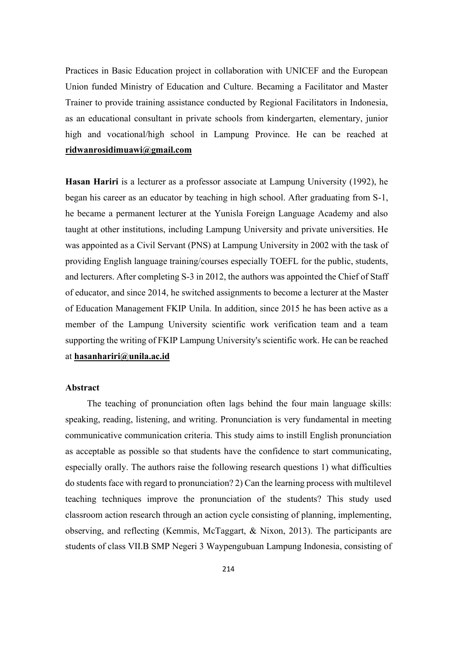Practices in Basic Education project in collaboration with UNICEF and the European Union funded Ministry of Education and Culture. Becaming a Facilitator and Master Trainer to provide training assistance conducted by Regional Facilitators in Indonesia, as an educational consultant in private schools from kindergarten, elementary, junior high and vocational/high school in Lampung Province. He can be reached at **[ridwanrosidimuawi@gmail.com](mailto:ridwanrosidimuawi@gmail.com)**

**Hasan Hariri** is a lecturer as a professor associate at Lampung University (1992), he began his career as an educator by teaching in high school. After graduating from S-1, he became a permanent lecturer at the Yunisla Foreign Language Academy and also taught at other institutions, including Lampung University and private universities. He was appointed as a Civil Servant (PNS) at Lampung University in 2002 with the task of providing English language training/courses especially TOEFL for the public, students, and lecturers. After completing S-3 in 2012, the authors was appointed the Chief of Staff of educator, and since 2014, he switched assignments to become a lecturer at the Master of Education Management FKIP Unila. In addition, since 2015 he has been active as a member of the Lampung University scientific work verification team and a team supporting the writing of FKIP Lampung University's scientific work. He can be reached at **[hasanhariri@unila.ac.id](mailto:hasanhariri@unila.ac.id)**

## **Abstract**

The teaching of pronunciation often lags behind the four main language skills: speaking, reading, listening, and writing. Pronunciation is very fundamental in meeting communicative communication criteria. This study aims to instill English pronunciation as acceptable as possible so that students have the confidence to start communicating, especially orally. The authors raise the following research questions 1) what difficulties do students face with regard to pronunciation? 2) Can the learning process with multilevel teaching techniques improve the pronunciation of the students? This study used classroom action research through an action cycle consisting of planning, implementing, observing, and reflecting (Kemmis, McTaggart, & Nixon, 2013). The participants are students of class VII.B SMP Negeri 3 Waypengubuan Lampung Indonesia, consisting of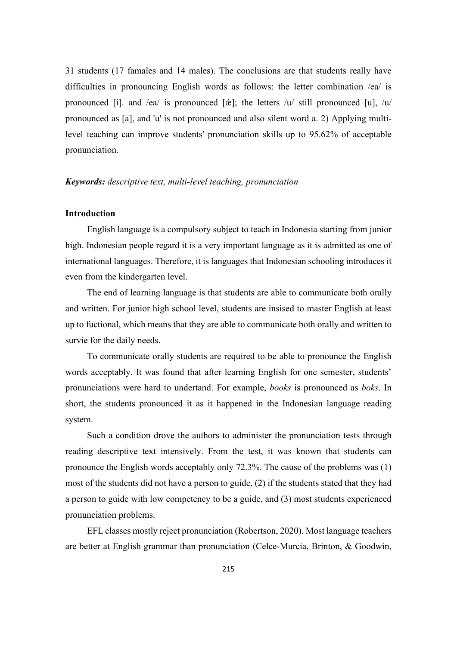31 students (17 famales and 14 males). The conclusions are that students really have difficulties in pronouncing English words as follows: the letter combination /ea/ is pronounced [i]. and /ea/ is pronounced [ $\&$ ]; the letters /u/ still pronounced [u], /u/ pronounced as [a], and 'u' is not pronounced and also silent word a. 2) Applying multilevel teaching can improve students' pronunciation skills up to 95.62% of acceptable pronunciation.

## *Keywords: descriptive text, multi-level teaching, pronunciation*

# **Introduction**

English language is a compulsory subject to teach in Indonesia starting from junior high. Indonesian people regard it is a very important language as it is admitted as one of international languages. Therefore, it is languages that Indonesian schooling introduces it even from the kindergarten level.

The end of learning language is that students are able to communicate both orally and written. For junior high school level, students are insised to master English at least up to fuctional, which means that they are able to communicate both orally and written to survie for the daily needs.

To communicate orally students are required to be able to pronounce the English words acceptably. It was found that after learning English for one semester, students' pronunciations were hard to undertand. For example, *books* is pronounced as *boks*. In short, the students pronounced it as it happened in the Indonesian language reading system.

Such a condition drove the authors to administer the pronunciation tests through reading descriptive text intensively. From the test, it was known that students can pronounce the English words acceptably only 72.3%. The cause of the problems was (1) most of the students did not have a person to guide, (2) if the students stated that they had a person to guide with low competency to be a guide, and (3) most students experienced pronunciation problems.

EFL classes mostly reject pronunciation (Robertson, 2020). Most language teachers are better at English grammar than pronunciation (Celce-Murcia, Brinton, & Goodwin,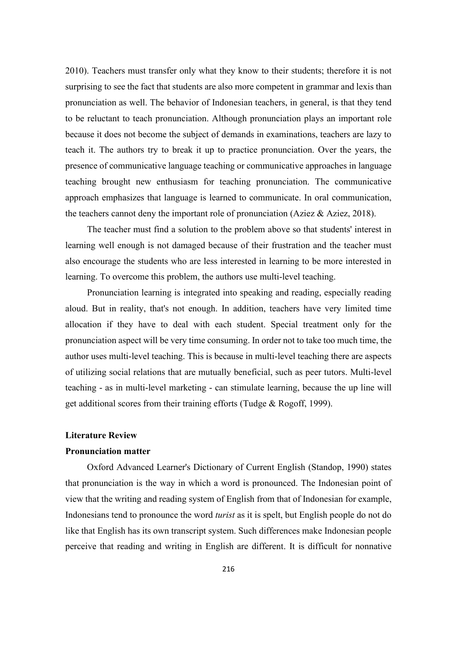2010). Teachers must transfer only what they know to their students; therefore it is not surprising to see the fact that students are also more competent in grammar and lexis than pronunciation as well. The behavior of Indonesian teachers, in general, is that they tend to be reluctant to teach pronunciation. Although pronunciation plays an important role because it does not become the subject of demands in examinations, teachers are lazy to teach it. The authors try to break it up to practice pronunciation. Over the years, the presence of communicative language teaching or communicative approaches in language teaching brought new enthusiasm for teaching pronunciation. The communicative approach emphasizes that language is learned to communicate. In oral communication, the teachers cannot deny the important role of pronunciation (Aziez & Aziez, 2018).

The teacher must find a solution to the problem above so that students' interest in learning well enough is not damaged because of their frustration and the teacher must also encourage the students who are less interested in learning to be more interested in learning. To overcome this problem, the authors use multi-level teaching.

Pronunciation learning is integrated into speaking and reading, especially reading aloud. But in reality, that's not enough. In addition, teachers have very limited time allocation if they have to deal with each student. Special treatment only for the pronunciation aspect will be very time consuming. In order not to take too much time, the author uses multi-level teaching. This is because in multi-level teaching there are aspects of utilizing social relations that are mutually beneficial, such as peer tutors. Multi-level teaching - as in multi-level marketing - can stimulate learning, because the up line will get additional scores from their training efforts (Tudge & Rogoff, 1999).

### **Literature Review**

#### **Pronunciation matter**

Oxford Advanced Learner's Dictionary of Current English (Standop, 1990) states that pronunciation is the way in which a word is pronounced. The Indonesian point of view that the writing and reading system of English from that of Indonesian for example, Indonesians tend to pronounce the word *turist* as it is spelt, but English people do not do like that English has its own transcript system. Such differences make Indonesian people perceive that reading and writing in English are different. It is difficult for nonnative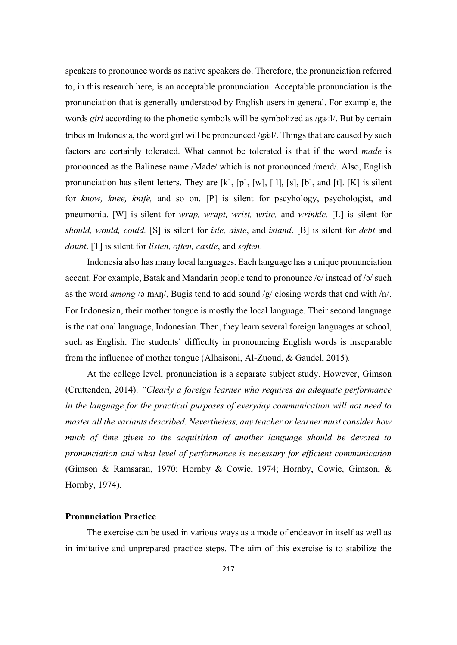speakers to pronounce words as native speakers do. Therefore, the pronunciation referred to, in this research here, is an acceptable pronunciation. Acceptable pronunciation is the pronunciation that is generally understood by English users in general. For example, the words *girl* according to the phonetic symbols will be symbolized as /g3·.1/. But by certain tribes in Indonesia, the word girl will be pronounced /g  $\&$ l/. Things that are caused by such factors are certainly tolerated. What cannot be tolerated is that if the word *made* is pronounced as the Balinese name /Made/ which is not pronounced /meɪd/. Also, English pronunciation has silent letters. They are [k], [p], [w], [ l], [s], [b], and [t]. [K] is silent for *know, knee, knife,* and so on. [P] is silent for pscyhology, psychologist, and pneumonia. [W] is silent for *wrap, wrapt, wrist, write,* and *wrinkle.* [L] is silent for *should, would, could.* [S] is silent for *isle, aisle*, and *island*. [B] is silent for *debt* and *doubt*. [T] is silent for *listen, often, castle*, and *soften*.

Indonesia also has many local languages. Each language has a unique pronunciation accent. For example, Batak and Mandarin people tend to pronounce /e/ instead of /ə/ such as the word *among* /əˈmʌŋ/, Bugis tend to add sound /g/ closing words that end with /n/. For Indonesian, their mother tongue is mostly the local language. Their second language is the national language, Indonesian. Then, they learn several foreign languages at school, such as English. The students' difficulty in pronouncing English words is inseparable from the influence of mother tongue (Alhaisoni, Al-Zuoud, & Gaudel, 2015).

At the college level, pronunciation is a separate subject study. However, Gimson (Cruttenden, 2014). *"Clearly a foreign learner who requires an adequate performance in the language for the practical purposes of everyday communication will not need to master all the variants described. Nevertheless, any teacher or learner must consider how much of time given to the acquisition of another language should be devoted to pronunciation and what level of performance is necessary for efficient communication*  (Gimson & Ramsaran, 1970; Hornby & Cowie, 1974; Hornby, Cowie, Gimson, & Hornby, 1974).

## **Pronunciation Practice**

The exercise can be used in various ways as a mode of endeavor in itself as well as in imitative and unprepared practice steps. The aim of this exercise is to stabilize the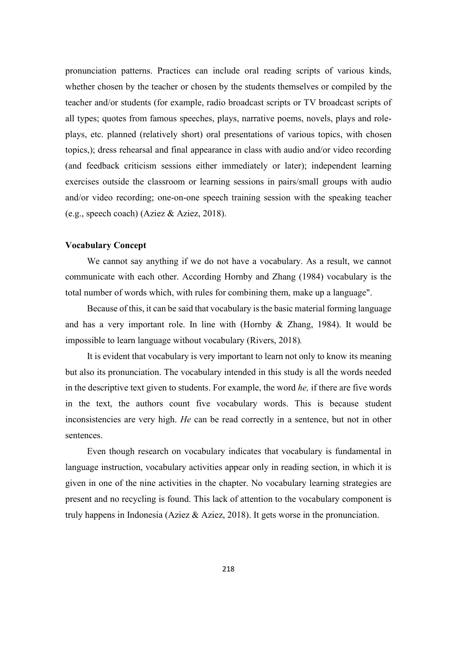pronunciation patterns. Practices can include oral reading scripts of various kinds, whether chosen by the teacher or chosen by the students themselves or compiled by the teacher and/or students (for example, radio broadcast scripts or TV broadcast scripts of all types; quotes from famous speeches, plays, narrative poems, novels, plays and roleplays, etc. planned (relatively short) oral presentations of various topics, with chosen topics,); dress rehearsal and final appearance in class with audio and/or video recording (and feedback criticism sessions either immediately or later); independent learning exercises outside the classroom or learning sessions in pairs/small groups with audio and/or video recording; one-on-one speech training session with the speaking teacher (e.g., speech coach) (Aziez & Aziez, 2018).

#### **Vocabulary Concept**

We cannot say anything if we do not have a vocabulary. As a result, we cannot communicate with each other. According Hornby and Zhang (1984) vocabulary is the total number of words which, with rules for combining them, make up a language".

Because of this, it can be said that vocabulary is the basic material forming language and has a very important role. In line with (Hornby & Zhang, 1984). It would be impossible to learn language without vocabulary (Rivers, 2018)*.*

It is evident that vocabulary is very important to learn not only to know its meaning but also its pronunciation. The vocabulary intended in this study is all the words needed in the descriptive text given to students. For example, the word *he,* if there are five words in the text, the authors count five vocabulary words. This is because student inconsistencies are very high. *He* can be read correctly in a sentence, but not in other sentences.

Even though research on vocabulary indicates that vocabulary is fundamental in language instruction, vocabulary activities appear only in reading section, in which it is given in one of the nine activities in the chapter. No vocabulary learning strategies are present and no recycling is found. This lack of attention to the vocabulary component is truly happens in Indonesia (Aziez & Aziez, 2018). It gets worse in the pronunciation.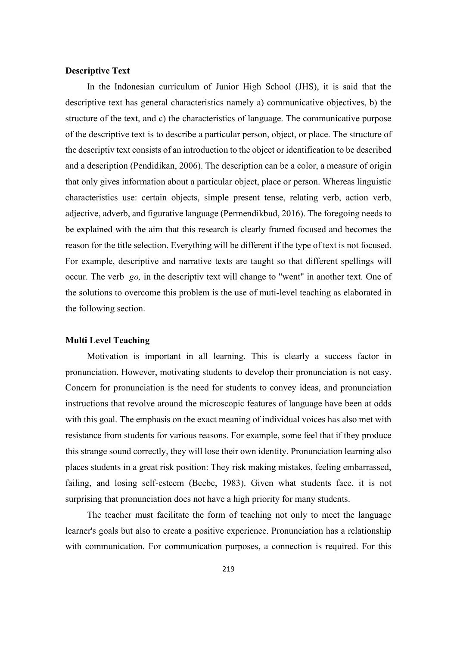## **Descriptive Text**

In the Indonesian curriculum of Junior High School (JHS), it is said that the descriptive text has general characteristics namely a) communicative objectives, b) the structure of the text, and c) the characteristics of language. The communicative purpose of the descriptive text is to describe a particular person, object, or place. The structure of the descriptiv text consists of an introduction to the object or identification to be described and a description (Pendidikan, 2006). The description can be a color, a measure of origin that only gives information about a particular object, place or person. Whereas linguistic characteristics use: certain objects, simple present tense, relating verb, action verb, adjective, adverb, and figurative language (Permendikbud, 2016). The foregoing needs to be explained with the aim that this research is clearly framed focused and becomes the reason for the title selection. Everything will be different if the type of text is not focused. For example, descriptive and narrative texts are taught so that different spellings will occur. The verb *go,* in the descriptiv text will change to "went" in another text. One of the solutions to overcome this problem is the use of muti-level teaching as elaborated in the following section.

## **Multi Level Teaching**

Motivation is important in all learning. This is clearly a success factor in pronunciation. However, motivating students to develop their pronunciation is not easy. Concern for pronunciation is the need for students to convey ideas, and pronunciation instructions that revolve around the microscopic features of language have been at odds with this goal. The emphasis on the exact meaning of individual voices has also met with resistance from students for various reasons. For example, some feel that if they produce this strange sound correctly, they will lose their own identity. Pronunciation learning also places students in a great risk position: They risk making mistakes, feeling embarrassed, failing, and losing self-esteem (Beebe, 1983). Given what students face, it is not surprising that pronunciation does not have a high priority for many students.

The teacher must facilitate the form of teaching not only to meet the language learner's goals but also to create a positive experience. Pronunciation has a relationship with communication. For communication purposes, a connection is required. For this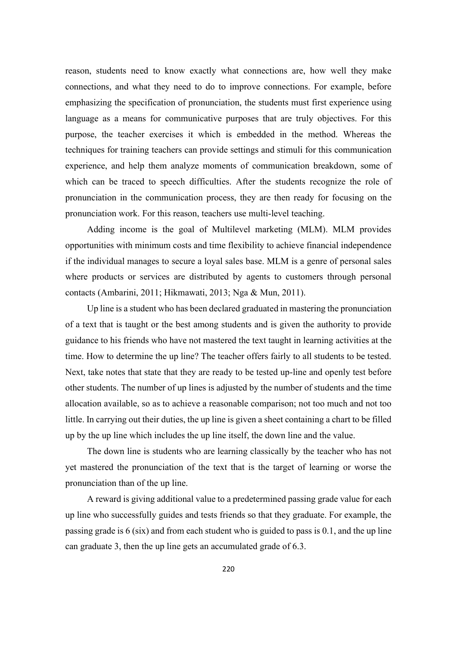reason, students need to know exactly what connections are, how well they make connections, and what they need to do to improve connections. For example, before emphasizing the specification of pronunciation, the students must first experience using language as a means for communicative purposes that are truly objectives. For this purpose, the teacher exercises it which is embedded in the method. Whereas the techniques for training teachers can provide settings and stimuli for this communication experience, and help them analyze moments of communication breakdown, some of which can be traced to speech difficulties. After the students recognize the role of pronunciation in the communication process, they are then ready for focusing on the pronunciation work. For this reason, teachers use multi-level teaching.

Adding income is the goal of Multilevel marketing (MLM). MLM provides opportunities with minimum costs and time flexibility to achieve financial independence if the individual manages to secure a loyal sales base. MLM is a genre of personal sales where products or services are distributed by agents to customers through personal contacts (Ambarini, 2011; Hikmawati, 2013; Nga & Mun, 2011).

Up line is a student who has been declared graduated in mastering the pronunciation of a text that is taught or the best among students and is given the authority to provide guidance to his friends who have not mastered the text taught in learning activities at the time. How to determine the up line? The teacher offers fairly to all students to be tested. Next, take notes that state that they are ready to be tested up-line and openly test before other students. The number of up lines is adjusted by the number of students and the time allocation available, so as to achieve a reasonable comparison; not too much and not too little. In carrying out their duties, the up line is given a sheet containing a chart to be filled up by the up line which includes the up line itself, the down line and the value.

The down line is students who are learning classically by the teacher who has not yet mastered the pronunciation of the text that is the target of learning or worse the pronunciation than of the up line.

A reward is giving additional value to a predetermined passing grade value for each up line who successfully guides and tests friends so that they graduate. For example, the passing grade is 6 (six) and from each student who is guided to pass is 0.1, and the up line can graduate 3, then the up line gets an accumulated grade of 6.3.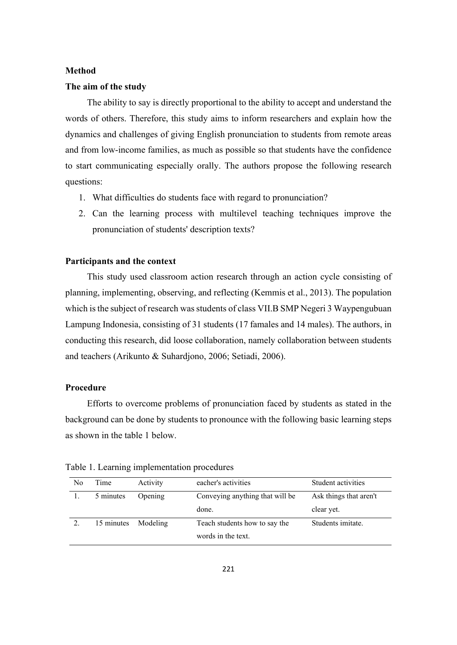#### **Method**

### **The aim of the study**

The ability to say is directly proportional to the ability to accept and understand the words of others. Therefore, this study aims to inform researchers and explain how the dynamics and challenges of giving English pronunciation to students from remote areas and from low-income families, as much as possible so that students have the confidence to start communicating especially orally. The authors propose the following research questions:

- 1. What difficulties do students face with regard to pronunciation?
- 2. Can the learning process with multilevel teaching techniques improve the pronunciation of students' description texts?

### **Participants and the context**

This study used classroom action research through an action cycle consisting of planning, implementing, observing, and reflecting (Kemmis et al., 2013). The population which is the subject of research was students of class VII.B SMP Negeri 3 Waypengubuan Lampung Indonesia, consisting of 31 students (17 famales and 14 males). The authors, in conducting this research, did loose collaboration, namely collaboration between students and teachers (Arikunto & Suhardjono, 2006; Setiadi, 2006).

## **Procedure**

Efforts to overcome problems of pronunciation faced by students as stated in the background can be done by students to pronounce with the following basic learning steps as shown in the table 1 below.

| N <sub>0</sub> | Time                | Activity | eacher's activities             | Student activities     |
|----------------|---------------------|----------|---------------------------------|------------------------|
|                | 5 minutes           | Opening  | Conveying anything that will be | Ask things that aren't |
|                |                     |          | done.                           | clear yet.             |
|                | 15 minutes Modeling |          | Teach students how to say the   | Students imitate.      |
|                |                     |          | words in the text.              |                        |

Table 1. Learning implementation procedures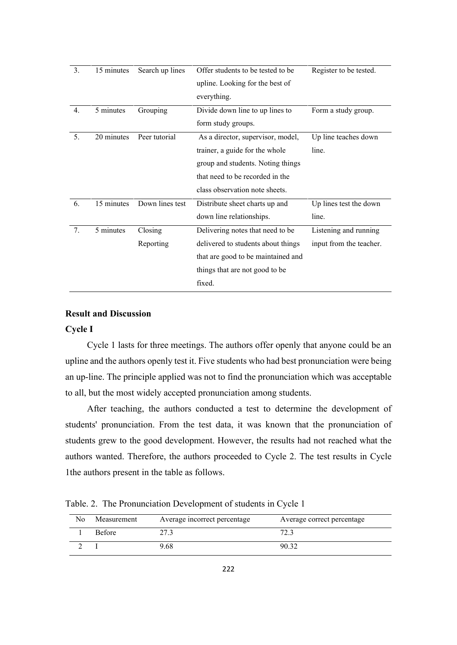| 3. | 15 minutes              | Search up lines | Offer students to be tested to be  | Register to be tested.  |
|----|-------------------------|-----------------|------------------------------------|-------------------------|
|    |                         |                 | upline. Looking for the best of    |                         |
|    |                         |                 | everything.                        |                         |
| 4. | 5 minutes               | Grouping        | Divide down line to up lines to    | Form a study group.     |
|    |                         |                 | form study groups.                 |                         |
| 5. | 20 minutes              | Peer tutorial   | As a director, supervisor, model,  | Up line teaches down    |
|    |                         |                 | trainer, a guide for the whole     | line.                   |
|    |                         |                 | group and students. Noting things  |                         |
|    |                         |                 | that need to be recorded in the    |                         |
|    |                         |                 | class observation note sheets.     |                         |
| 6. | $\overline{15}$ minutes | Down lines test | Distribute sheet charts up and     | Up lines test the down  |
|    |                         |                 | down line relationships.           | line.                   |
| 7. | 5 minutes               | Closing         | Delivering notes that need to be   | Listening and running   |
|    |                         | Reporting       | delivered to students about things | input from the teacher. |
|    |                         |                 | that are good to be maintained and |                         |
|    |                         |                 | things that are not good to be     |                         |
|    |                         |                 | fixed.                             |                         |
|    |                         |                 |                                    |                         |

# **Result and Discussion**

#### **Cycle I**

Cycle 1 lasts for three meetings. The authors offer openly that anyone could be an upline and the authors openly test it. Five students who had best pronunciation were being an up-line. The principle applied was not to find the pronunciation which was acceptable to all, but the most widely accepted pronunciation among students.

After teaching, the authors conducted a test to determine the development of students' pronunciation. From the test data, it was known that the pronunciation of students grew to the good development. However, the results had not reached what the authors wanted. Therefore, the authors proceeded to Cycle 2. The test results in Cycle 1the authors present in the table as follows.

Table. 2. The Pronunciation Development of students in Cycle 1

| No | Measurement   | Average incorrect percentage | Average correct percentage |
|----|---------------|------------------------------|----------------------------|
|    | <b>Before</b> |                              |                            |
|    |               | 9.68                         | 90.32                      |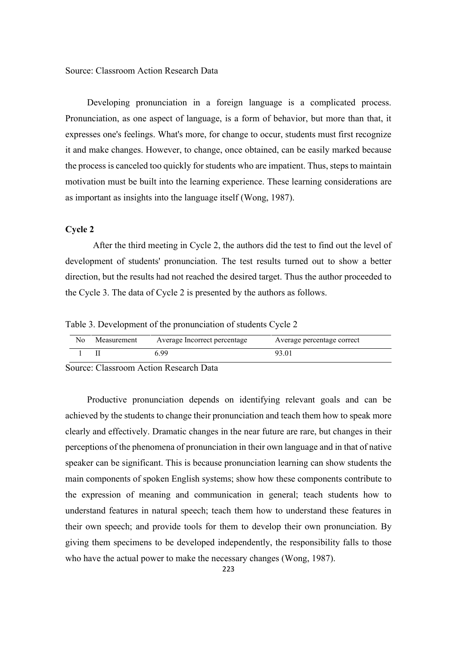Source: Classroom Action Research Data

Developing pronunciation in a foreign language is a complicated process. Pronunciation, as one aspect of language, is a form of behavior, but more than that, it expresses one's feelings. What's more, for change to occur, students must first recognize it and make changes. However, to change, once obtained, can be easily marked because the process is canceled too quickly for students who are impatient. Thus, steps to maintain motivation must be built into the learning experience. These learning considerations are as important as insights into the language itself (Wong, 1987).

#### **Cycle 2**

After the third meeting in Cycle 2, the authors did the test to find out the level of development of students' pronunciation. The test results turned out to show a better direction, but the results had not reached the desired target. Thus the author proceeded to the Cycle 3. The data of Cycle 2 is presented by the authors as follows.

Table 3. Development of the pronunciation of students Cycle 2

| N٥ | Measurement | Average Incorrect percentage | Average percentage correct |
|----|-------------|------------------------------|----------------------------|
|    |             | , 99                         | 93.01                      |

Source: Classroom Action Research Data

Productive pronunciation depends on identifying relevant goals and can be achieved by the students to change their pronunciation and teach them how to speak more clearly and effectively. Dramatic changes in the near future are rare, but changes in their perceptions of the phenomena of pronunciation in their own language and in that of native speaker can be significant. This is because pronunciation learning can show students the main components of spoken English systems; show how these components contribute to the expression of meaning and communication in general; teach students how to understand features in natural speech; teach them how to understand these features in their own speech; and provide tools for them to develop their own pronunciation. By giving them specimens to be developed independently, the responsibility falls to those who have the actual power to make the necessary changes (Wong, 1987).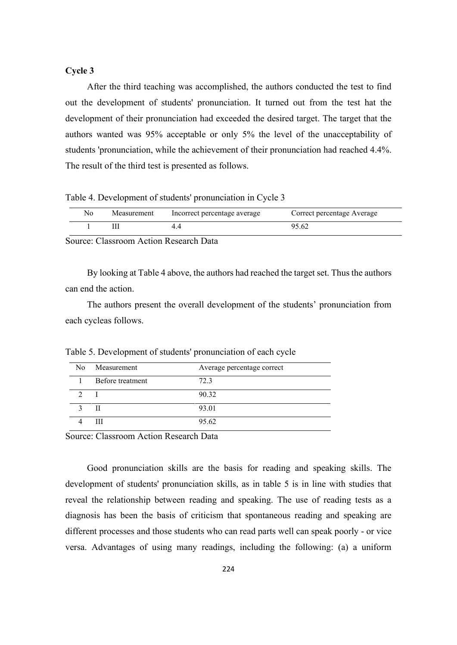### **Cycle 3**

After the third teaching was accomplished, the authors conducted the test to find out the development of students' pronunciation. It turned out from the test hat the development of their pronunciation had exceeded the desired target. The target that the authors wanted was 95% acceptable or only 5% the level of the unacceptability of students 'pronunciation, while the achievement of their pronunciation had reached 4.4%. The result of the third test is presented as follows.

Table 4. Development of students' pronunciation in Cycle 3

| Nο | Measurement | Incorrect percentage average | Correct percentage Average |
|----|-------------|------------------------------|----------------------------|
|    |             |                              | 95.62                      |

Source: Classroom Action Research Data

By looking at Table 4 above, the authors had reached the target set. Thus the authors can end the action.

The authors present the overall development of the students' pronunciation from each cycleas follows.

| No Measurement   | Average percentage correct |
|------------------|----------------------------|
| Before treatment | 72.3                       |
|                  | 90.32                      |
| Н                | 93.01                      |
| Ш                | 95.62                      |

Table 5. Development of students' pronunciation of each cycle

Source: Classroom Action Research Data

Good pronunciation skills are the basis for reading and speaking skills. The development of students' pronunciation skills, as in table 5 is in line with studies that reveal the relationship between reading and speaking. The use of reading tests as a diagnosis has been the basis of criticism that spontaneous reading and speaking are different processes and those students who can read parts well can speak poorly - or vice versa. Advantages of using many readings, including the following: (a) a uniform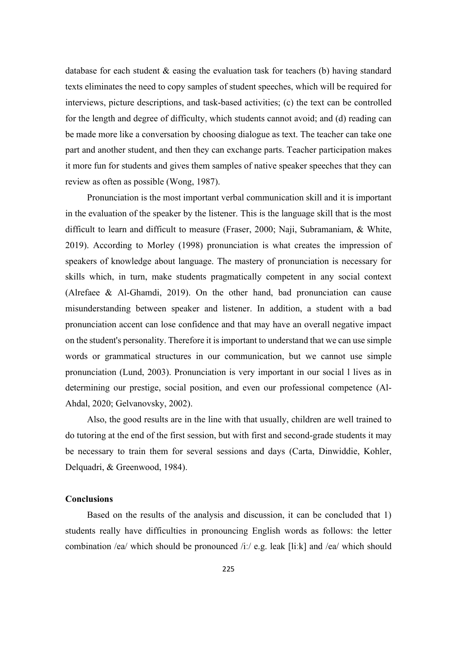database for each student & easing the evaluation task for teachers (b) having standard texts eliminates the need to copy samples of student speeches, which will be required for interviews, picture descriptions, and task-based activities; (c) the text can be controlled for the length and degree of difficulty, which students cannot avoid; and (d) reading can be made more like a conversation by choosing dialogue as text. The teacher can take one part and another student, and then they can exchange parts. Teacher participation makes it more fun for students and gives them samples of native speaker speeches that they can review as often as possible (Wong, 1987).

Pronunciation is the most important verbal communication skill and it is important in the evaluation of the speaker by the listener. This is the language skill that is the most difficult to learn and difficult to measure (Fraser, 2000; Naji, Subramaniam, & White, 2019). According to Morley (1998) pronunciation is what creates the impression of speakers of knowledge about language. The mastery of pronunciation is necessary for skills which, in turn, make students pragmatically competent in any social context (Alrefaee & Al-Ghamdi, 2019). On the other hand, bad pronunciation can cause misunderstanding between speaker and listener. In addition, a student with a bad pronunciation accent can lose confidence and that may have an overall negative impact on the student's personality. Therefore it is important to understand that we can use simple words or grammatical structures in our communication, but we cannot use simple pronunciation (Lund, 2003). Pronunciation is very important in our social l lives as in determining our prestige, social position, and even our professional competence (Al-Ahdal, 2020; Gelvanovsky, 2002).

Also, the good results are in the line with that usually, children are well trained to do tutoring at the end of the first session, but with first and second-grade students it may be necessary to train them for several sessions and days (Carta, Dinwiddie, Kohler, Delquadri, & Greenwood, 1984).

#### **Conclusions**

Based on the results of the analysis and discussion, it can be concluded that 1) students really have difficulties in pronouncing English words as follows: the letter combination /ea/ which should be pronounced /iː/ e.g. leak [liːk] and /ea/ which should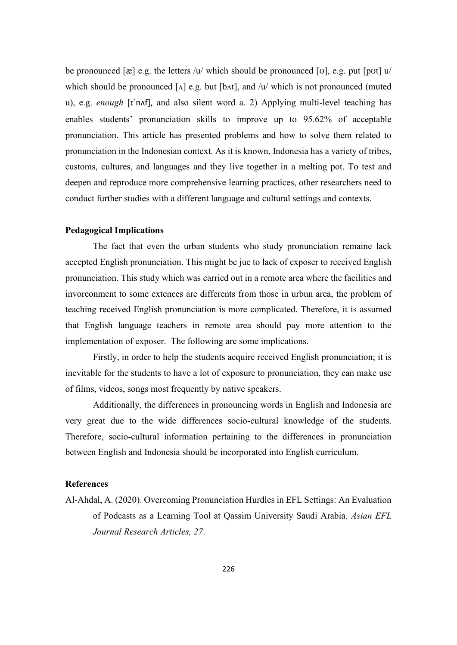be pronounced  $[\mathbf{x}]$  e.g. the letters /u/ which should be pronounced  $[\mathbf{v}]$ , e.g. put  $[\mathbf{pot}]$  u/ which should be pronounced  $[\Lambda]$  e.g. but  $[b \Lambda t]$ , and /u/ which is not pronounced (muted u), e.g. *enough* [ɪˈnʌf], and also silent word a. 2) Applying multi-level teaching has enables students' pronunciation skills to improve up to 95.62% of acceptable pronunciation. This article has presented problems and how to solve them related to pronunciation in the Indonesian context. As it is known, Indonesia has a variety of tribes, customs, cultures, and languages and they live together in a melting pot. To test and deepen and reproduce more comprehensive learning practices, other researchers need to conduct further studies with a different language and cultural settings and contexts.

## **Pedagogical Implications**

The fact that even the urban students who study pronunciation remaine lack accepted English pronunciation. This might be jue to lack of exposer to received English pronunciation. This study which was carried out in a remote area where the facilities and invoreonment to some extences are differents from those in urbun area, the problem of teaching received English pronunciation is more complicated. Therefore, it is assumed that English language teachers in remote area should pay more attention to the implementation of exposer. The following are some implications.

Firstly, in order to help the students acquire received English pronunciation; it is inevitable for the students to have a lot of exposure to pronunciation, they can make use of films, videos, songs most frequently by native speakers.

Additionally, the differences in pronouncing words in English and Indonesia are very great due to the wide differences socio-cultural knowledge of the students. Therefore, socio-cultural information pertaining to the differences in pronunciation between English and Indonesia should be incorporated into English curriculum.

### **References**

Al-Ahdal, A. (2020). Overcoming Pronunciation Hurdles in EFL Settings: An Evaluation of Podcasts as a Learning Tool at Qassim University Saudi Arabia. *Asian EFL Journal Research Articles, 27*.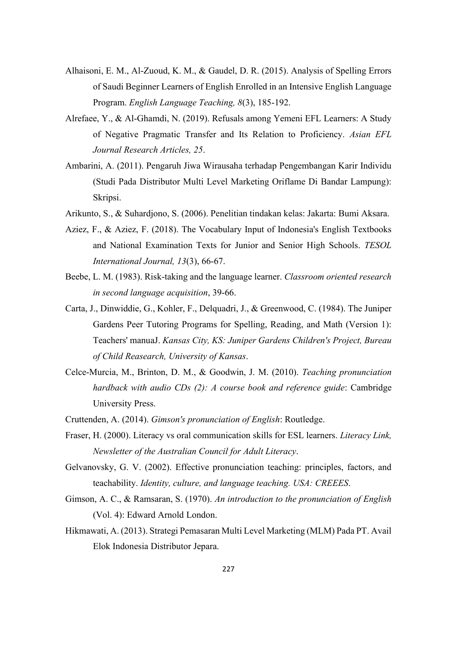- Alhaisoni, E. M., Al-Zuoud, K. M., & Gaudel, D. R. (2015). Analysis of Spelling Errors of Saudi Beginner Learners of English Enrolled in an Intensive English Language Program. *English Language Teaching, 8*(3), 185-192.
- Alrefaee, Y., & Al-Ghamdi, N. (2019). Refusals among Yemeni EFL Learners: A Study of Negative Pragmatic Transfer and Its Relation to Proficiency. *Asian EFL Journal Research Articles, 25*.
- Ambarini, A. (2011). Pengaruh Jiwa Wirausaha terhadap Pengembangan Karir Individu (Studi Pada Distributor Multi Level Marketing Oriflame Di Bandar Lampung): Skripsi.
- Arikunto, S., & Suhardjono, S. (2006). Penelitian tindakan kelas: Jakarta: Bumi Aksara.
- Aziez, F., & Aziez, F. (2018). The Vocabulary Input of Indonesia's English Textbooks and National Examination Texts for Junior and Senior High Schools. *TESOL International Journal, 13*(3), 66-67.
- Beebe, L. M. (1983). Risk-taking and the language learner. *Classroom oriented research in second language acquisition*, 39-66.
- Carta, J., Dinwiddie, G., Kohler, F., Delquadri, J., & Greenwood, C. (1984). The Juniper Gardens Peer Tutoring Programs for Spelling, Reading, and Math (Version 1): Teachers' manuaJ. *Kansas City, KS: Juniper Gardens Children's Project, Bureau of Child Reasearch, University of Kansas*.
- Celce-Murcia, M., Brinton, D. M., & Goodwin, J. M. (2010). *Teaching pronunciation hardback with audio CDs (2): A course book and reference guide*: Cambridge University Press.
- Cruttenden, A. (2014). *Gimson's pronunciation of English*: Routledge.
- Fraser, H. (2000). Literacy vs oral communication skills for ESL learners. *Literacy Link, Newsletter of the Australian Council for Adult Literacy*.
- Gelvanovsky, G. V. (2002). Effective pronunciation teaching: principles, factors, and teachability. *Identity, culture, and language teaching. USA: CREEES*.
- Gimson, A. C., & Ramsaran, S. (1970). *An introduction to the pronunciation of English* (Vol. 4): Edward Arnold London.
- Hikmawati, A. (2013). Strategi Pemasaran Multi Level Marketing (MLM) Pada PT. Avail Elok Indonesia Distributor Jepara.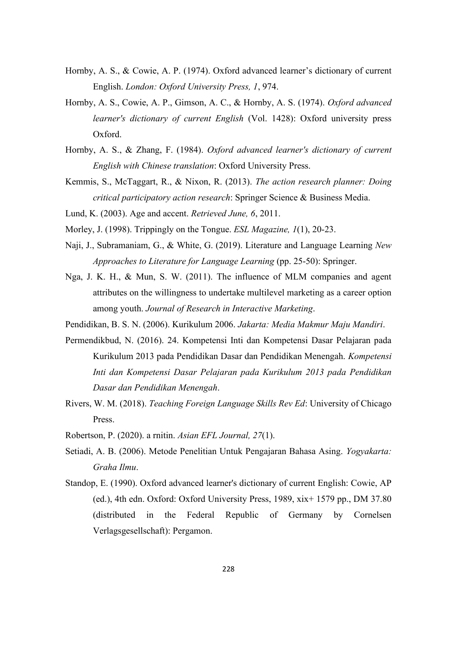- Hornby, A. S., & Cowie, A. P. (1974). Oxford advanced learner's dictionary of current English. *London: Oxford University Press, 1*, 974.
- Hornby, A. S., Cowie, A. P., Gimson, A. C., & Hornby, A. S. (1974). *Oxford advanced learner's dictionary of current English* (Vol. 1428): Oxford university press Oxford.
- Hornby, A. S., & Zhang, F. (1984). *Oxford advanced learner's dictionary of current English with Chinese translation*: Oxford University Press.
- Kemmis, S., McTaggart, R., & Nixon, R. (2013). *The action research planner: Doing critical participatory action research*: Springer Science & Business Media.
- Lund, K. (2003). Age and accent. *Retrieved June, 6*, 2011.
- Morley, J. (1998). Trippingly on the Tongue. *ESL Magazine, 1*(1), 20-23.
- Naji, J., Subramaniam, G., & White, G. (2019). Literature and Language Learning *New Approaches to Literature for Language Learning* (pp. 25-50): Springer.
- Nga, J. K. H., & Mun, S. W. (2011). The influence of MLM companies and agent attributes on the willingness to undertake multilevel marketing as a career option among youth. *Journal of Research in Interactive Marketing*.
- Pendidikan, B. S. N. (2006). Kurikulum 2006. *Jakarta: Media Makmur Maju Mandiri*.
- Permendikbud, N. (2016). 24. Kompetensi Inti dan Kompetensi Dasar Pelajaran pada Kurikulum 2013 pada Pendidikan Dasar dan Pendidikan Menengah. *Kompetensi Inti dan Kompetensi Dasar Pelajaran pada Kurikulum 2013 pada Pendidikan Dasar dan Pendidikan Menengah*.
- Rivers, W. M. (2018). *Teaching Foreign Language Skills Rev Ed*: University of Chicago Press.
- Robertson, P. (2020). a rnitin. *Asian EFL Journal, 27*(1).
- Setiadi, A. B. (2006). Metode Penelitian Untuk Pengajaran Bahasa Asing. *Yogyakarta: Graha Ilmu*.
- Standop, E. (1990). Oxford advanced learner's dictionary of current English: Cowie, AP (ed.), 4th edn. Oxford: Oxford University Press, 1989, xix+ 1579 pp., DM 37.80 (distributed in the Federal Republic of Germany by Cornelsen Verlagsgesellschaft): Pergamon.